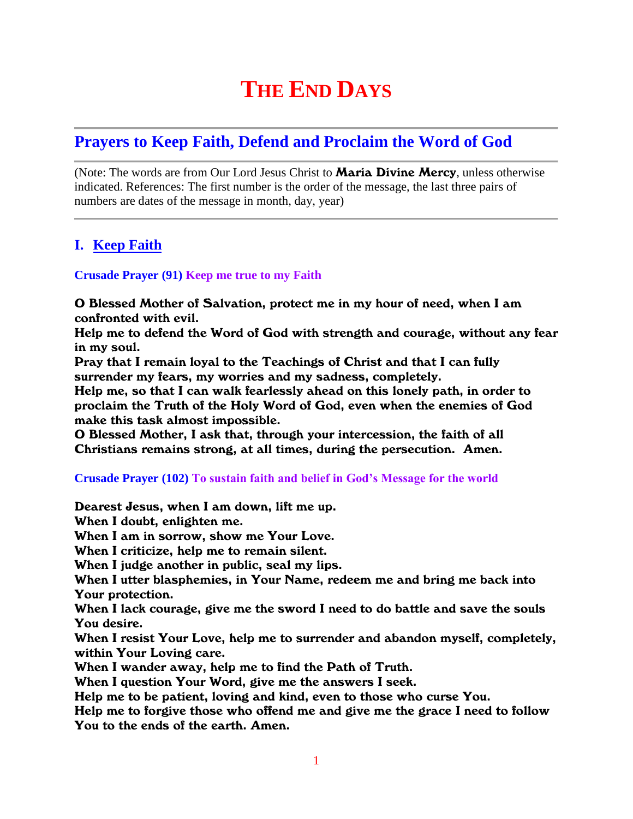# **THE END DAYS**

# **Prayers to Keep Faith, Defend and Proclaim the Word of God**

(Note: The words are from Our Lord Jesus Christ to **Maria Divine Mercy**, unless otherwise indicated. References: The first number is the order of the message, the last three pairs of numbers are dates of the message in month, day, year)

## **I. Keep Faith**

#### **Crusade Prayer (91) Keep me true to my Faith**

O Blessed Mother of Salvation, protect me in my hour of need, when I am confronted with evil.

Help me to defend the Word of God with strength and courage, without any fear in my soul.

Pray that I remain loyal to the Teachings of Christ and that I can fully surrender my fears, my worries and my sadness, completely.

Help me, so that I can walk fearlessly ahead on this lonely path, in order to proclaim the Truth of the Holy Word of God, even when the enemies of God make this task almost impossible.

O Blessed Mother, I ask that, through your intercession, the faith of all Christians remains strong, at all times, during the persecution. Amen.

#### **Crusade Prayer (102) To sustain faith and belief in God's Message for the world**

Dearest Jesus, when I am down, lift me up.

When I doubt, enlighten me.

When I am in sorrow, show me Your Love.

When I criticize, help me to remain silent.

When I judge another in public, seal my lips.

When I utter blasphemies, in Your Name, redeem me and bring me back into Your protection.

When I lack courage, give me the sword I need to do battle and save the souls You desire.

When I resist Your Love, help me to surrender and abandon myself, completely, within Your Loving care.

When I wander away, help me to find the Path of Truth.

When I question Your Word, give me the answers I seek.

Help me to be patient, loving and kind, even to those who curse You.

Help me to forgive those who offend me and give me the grace I need to follow You to the ends of the earth. Amen.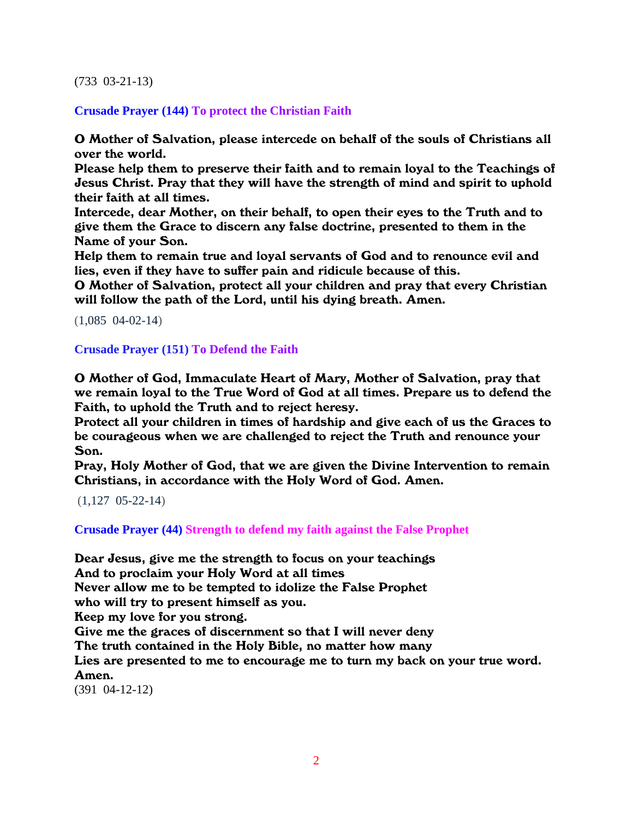#### (733 03-21-13)

**Crusade Prayer (144) To protect the Christian Faith**

O Mother of Salvation, please intercede on behalf of the souls of Christians all over the world.

Please help them to preserve their faith and to remain loyal to the Teachings of Jesus Christ. Pray that they will have the strength of mind and spirit to uphold their faith at all times.

Intercede, dear Mother, on their behalf, to open their eyes to the Truth and to give them the Grace to discern any false doctrine, presented to them in the Name of your Son.

Help them to remain true and loyal servants of God and to renounce evil and lies, even if they have to suffer pain and ridicule because of this.

O Mother of Salvation, protect all your children and pray that every Christian will follow the path of the Lord, until his dying breath. Amen.

(1,085 04-02-14)

**Crusade Prayer (151) To Defend the Faith**

O Mother of God, Immaculate Heart of Mary, Mother of Salvation, pray that we remain loyal to the True Word of God at all times. Prepare us to defend the Faith, to uphold the Truth and to reject heresy.

Protect all your children in times of hardship and give each of us the Graces to be courageous when we are challenged to reject the Truth and renounce your Son.

Pray, Holy Mother of God, that we are given the Divine Intervention to remain Christians, in accordance with the Holy Word of God. Amen.

(1,127 05-22-14)

**Crusade Prayer (44) Strength to defend my faith against the False Prophet**

Dear Jesus, give me the strength to focus on your teachings

And to proclaim your Holy Word at all times

Never allow me to be tempted to idolize the False Prophet

who will try to present himself as you.

Keep my love for you strong.

Give me the graces of discernment so that I will never deny

The truth contained in the Holy Bible, no matter how many

Lies are presented to me to encourage me to turn my back on your true word. Amen.

(391 04-12-12)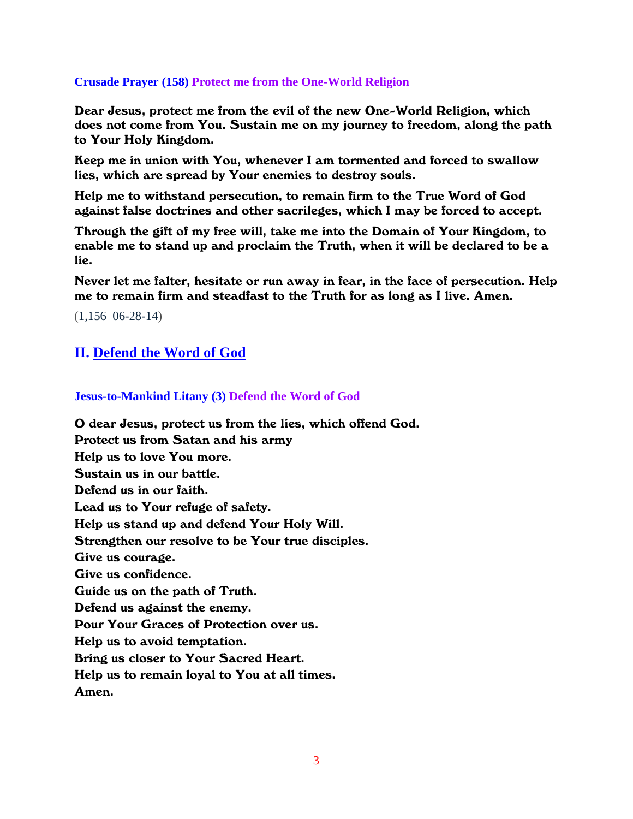#### **Crusade Prayer (158) Protect me from the One-World Religion**

Dear Jesus, protect me from the evil of the new One-World Religion, which does not come from You. Sustain me on my journey to freedom, along the path to Your Holy Kingdom.

Keep me in union with You, whenever I am tormented and forced to swallow lies, which are spread by Your enemies to destroy souls.

Help me to withstand persecution, to remain firm to the True Word of God against false doctrines and other sacrileges, which I may be forced to accept.

Through the gift of my free will, take me into the Domain of Your Kingdom, to enable me to stand up and proclaim the Truth, when it will be declared to be a lie.

Never let me falter, hesitate or run away in fear, in the face of persecution. Help me to remain firm and steadfast to the Truth for as long as I live. Amen.

(1,156 06-28-14)

### **II. Defend the Word of God**

#### **Jesus-to-Mankind Litany (3) Defend the Word of God**

O dear Jesus, protect us from the lies, which offend God. Protect us from Satan and his army Help us to love You more. Sustain us in our battle. Defend us in our faith. Lead us to Your refuge of safety. Help us stand up and defend Your Holy Will. Strengthen our resolve to be Your true disciples. Give us courage. Give us confidence. Guide us on the path of Truth. Defend us against the enemy. Pour Your Graces of Protection over us. Help us to avoid temptation. Bring us closer to Your Sacred Heart. Help us to remain loyal to You at all times. Amen.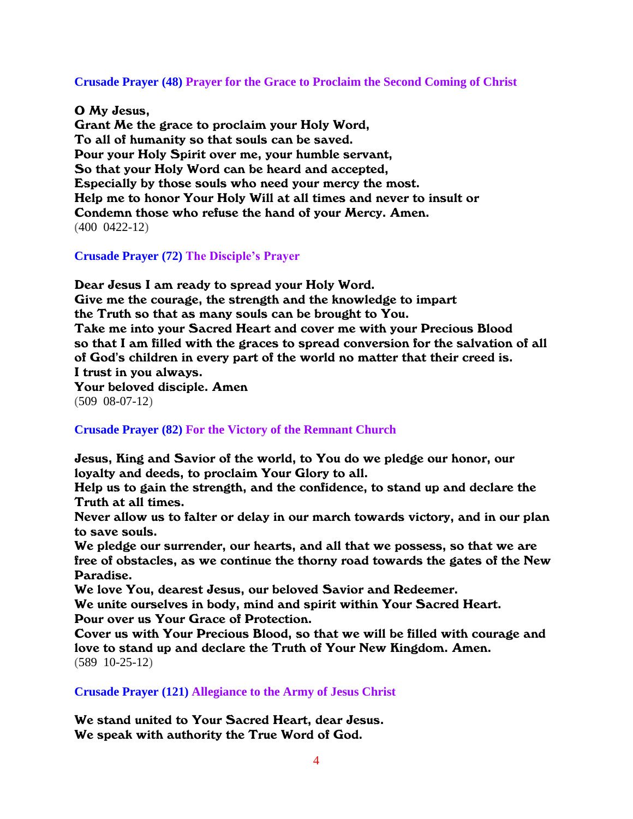**Crusade Prayer (48) Prayer for the Grace to Proclaim the Second Coming of Christ**

O My Jesus,

Grant Me the grace to proclaim your Holy Word, To all of humanity so that souls can be saved. Pour your Holy Spirit over me, your humble servant, So that your Holy Word can be heard and accepted, Especially by those souls who need your mercy the most. Help me to honor Your Holy Will at all times and never to insult or Condemn those who refuse the hand of your Mercy. Amen. (400 0422-12)

**Crusade Prayer (72) The Disciple's Prayer**

Dear Jesus I am ready to spread your Holy Word. Give me the courage, the strength and the knowledge to impart the Truth so that as many souls can be brought to You. Take me into your Sacred Heart and cover me with your Precious Blood so that I am filled with the graces to spread conversion for the salvation of all of God's children in every part of the world no matter that their creed is. I trust in you always. Your beloved disciple. Amen (509 08-07-12)

**Crusade Prayer (82) For the Victory of the Remnant Church**

Jesus, King and Savior of the world, to You do we pledge our honor, our loyalty and deeds, to proclaim Your Glory to all.

Help us to gain the strength, and the confidence, to stand up and declare the Truth at all times.

Never allow us to falter or delay in our march towards victory, and in our plan to save souls.

We pledge our surrender, our hearts, and all that we possess, so that we are free of obstacles, as we continue the thorny road towards the gates of the New Paradise.

We love You, dearest Jesus, our beloved Savior and Redeemer.

We unite ourselves in body, mind and spirit within Your Sacred Heart. Pour over us Your Grace of Protection.

Cover us with Your Precious Blood, so that we will be filled with courage and love to stand up and declare the Truth of Your New Kingdom. Amen. (589 10-25-12)

**Crusade Prayer (121) Allegiance to the Army of Jesus Christ**

We stand united to Your Sacred Heart, dear Jesus. We speak with authority the True Word of God.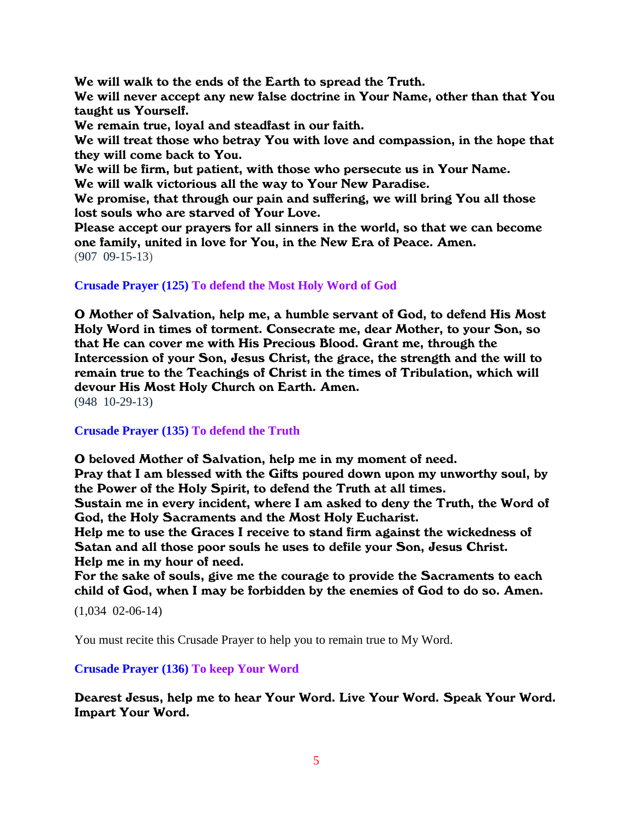We will walk to the ends of the Earth to spread the Truth.

We will never accept any new false doctrine in Your Name, other than that You taught us Yourself.

We remain true, loyal and steadfast in our faith.

We will treat those who betray You with love and compassion, in the hope that they will come back to You.

We will be firm, but patient, with those who persecute us in Your Name.

We will walk victorious all the way to Your New Paradise.

We promise, that through our pain and suffering, we will bring You all those lost souls who are starved of Your Love.

Please accept our prayers for all sinners in the world, so that we can become one family, united in love for You, in the New Era of Peace. Amen. (907 09-15-13)

#### **Crusade Prayer (125) To defend the Most Holy Word of God**

O Mother of Salvation, help me, a humble servant of God, to defend His Most Holy Word in times of torment. Consecrate me, dear Mother, to your Son, so that He can cover me with His Precious Blood. Grant me, through the Intercession of your Son, Jesus Christ, the grace, the strength and the will to remain true to the Teachings of Christ in the times of Tribulation, which will devour His Most Holy Church on Earth. Amen.

(948 10-29-13)

#### **Crusade Prayer (135) To defend the Truth**

O beloved Mother of Salvation, help me in my moment of need.

Pray that I am blessed with the Gifts poured down upon my unworthy soul, by the Power of the Holy Spirit, to defend the Truth at all times.

Sustain me in every incident, where I am asked to deny the Truth, the Word of God, the Holy Sacraments and the Most Holy Eucharist.

Help me to use the Graces I receive to stand firm against the wickedness of Satan and all those poor souls he uses to defile your Son, Jesus Christ. Help me in my hour of need.

For the sake of souls, give me the courage to provide the Sacraments to each child of God, when I may be forbidden by the enemies of God to do so. Amen.

(1,034 02-06-14)

You must recite this Crusade Prayer to help you to remain true to My Word.

#### **Crusade Prayer (136) To keep Your Word**

Dearest Jesus, help me to hear Your Word. Live Your Word. Speak Your Word. Impart Your Word.